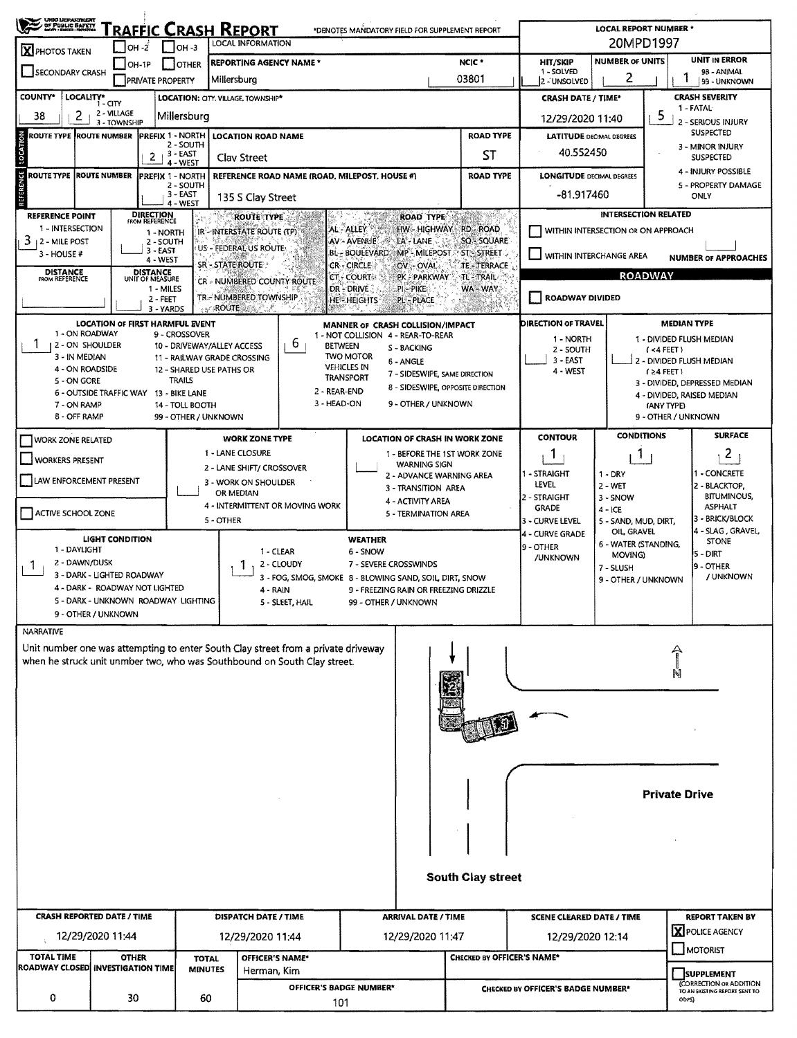| <b>CHIO LEPARTMENT</b><br>OF PUBLIC SAFETY                                                                          |                                         |                                           |                                           | <u>'RAFFIC CRASH REPORT</u>                       |                                                                                            | *DENOTES MANDATORY FIELD FOR SUPPLEMENT REPORT |                                                 |                                            |                                                            | <b>LOCAL REPORT NUMBER *</b>        |                                     |                                                     |  |
|---------------------------------------------------------------------------------------------------------------------|-----------------------------------------|-------------------------------------------|-------------------------------------------|---------------------------------------------------|--------------------------------------------------------------------------------------------|------------------------------------------------|-------------------------------------------------|--------------------------------------------|------------------------------------------------------------|-------------------------------------|-------------------------------------|-----------------------------------------------------|--|
| <b>X</b> PHOTOS TAKEN                                                                                               | $\Box$ OH - $\vec{z}$                   |                                           | $1$ IOH $-3$                              | LOCAL INFORMATION                                 |                                                                                            |                                                |                                                 |                                            |                                                            |                                     | 20MPD1997                           |                                                     |  |
| SECONDARY CRASH                                                                                                     | $ OH-1P$                                | <b>PRIVATE PROPERTY</b>                   | <b>OTHER</b>                              | <b>REPORTING AGENCY NAME*</b><br>Millersburg      |                                                                                            |                                                |                                                 | NCIC <sup>*</sup><br>03801                 | HIT/SKIP<br>1 - SOLVED<br>2 - UNSOLVED                     | <b>NUMBER OF UNITS</b><br>2         |                                     | <b>UNIT IN ERROR</b><br>98 - ANIMAL<br>99 - UNKNOWN |  |
| <b>COUNTY*</b><br>LOCALITY*                                                                                         |                                         |                                           |                                           |                                                   |                                                                                            |                                                |                                                 |                                            |                                                            |                                     |                                     | <b>CRASH SEVERITY</b>                               |  |
| 2<br>38                                                                                                             | 1 - CITY<br>2 - VILLAGE<br>3 - TOWNSHIP |                                           | Millersburg                               | <b>LOCATION: CITY. VILLAGE, TOWNSHIP*</b>         |                                                                                            |                                                |                                                 |                                            | <b>CRASH DATE / TIME*</b><br>12/29/2020 11:40              |                                     | 5                                   | 1 - FATAL<br>2 - SERIOUS INJURY                     |  |
| <b>ROUTE TYPE ROUTE NUMBER</b>                                                                                      |                                         | PREFIX 1 - NORTH                          |                                           | <b>LOCATION ROAD NAME</b>                         |                                                                                            |                                                |                                                 | <b>ROAD TYPE</b>                           | <b>LATITUDE DECIMAL DEGREES</b>                            |                                     |                                     | <b>SUSPECTED</b>                                    |  |
| LOCATION                                                                                                            |                                         | 2                                         | 2 - SOUTH<br>$-3 - EAST$<br>4 - WEST      | Clay Street                                       |                                                                                            |                                                |                                                 | ST                                         | 40.552450                                                  |                                     |                                     | 3 - MINOR INJURY<br><b>SUSPECTED</b>                |  |
| <b>REFERENCE</b><br><b>ROUTE TYPE ROUTE NUMBER</b>                                                                  |                                         | <b>PREFIX 1 - NORTH</b>                   | 2 - SOUTH                                 |                                                   | REFERENCE ROAD NAME (ROAD, MILEPOST, HOUSE #)                                              |                                                |                                                 | <b>ROAD TYPE</b>                           | <b>LONGITUDE DECIMAL DEGREES</b>                           |                                     |                                     | 4 - INJURY POSSIBLE<br>5 - PROPERTY DAMAGE          |  |
|                                                                                                                     |                                         |                                           | 3 - EAST<br>4 - WEST                      | 135 S Clay Street                                 |                                                                                            |                                                |                                                 |                                            | -81.917460                                                 |                                     |                                     | <b>ONLY</b>                                         |  |
| REFERENCE POINT<br>1 - INTERSECTION                                                                                 |                                         | <b>DIRECTION</b><br><b>FROM REFERENCE</b> |                                           | <b>ROUTE TYPE</b>                                 |                                                                                            | AL - ALLEY                                     | <b>ROAD TYPE</b><br>HW - HIGHWAY                | <b>RD-ROAD</b>                             |                                                            |                                     | <b>INTERSECTION RELATED</b>         |                                                     |  |
| 3<br>12 - MILE POST                                                                                                 |                                         | 1 - NORTH<br>2 - SOUTH                    |                                           | IR-INTERSTATE ROUTE (TP)<br>US - FEDERAL US ROUTE |                                                                                            | AV - AVENUE                                    | LA - LANE                                       | SQ - SQUARE                                |                                                            | WITHIN INTERSECTION OR ON APPROACH  |                                     |                                                     |  |
| $3 - HOUSE +$                                                                                                       |                                         | $3 - EAST$<br>4 - WEST                    |                                           | SR-STATE ROUTE                                    |                                                                                            | BL - BOULEVARD<br>CR - CIRCLE                  | OV - OVAL                                       | $MP - MLEPOST = ST - SIREET$<br>TE-TERRACE |                                                            | WITHIN INTERCHANGE AREA             |                                     | <b>NUMBER OF APPROACHES</b>                         |  |
| <b>DISTANCE</b><br>FROM REFERENCE                                                                                   |                                         | <b>DISTANCE</b><br>UNIT OF MEASURE        |                                           | CR - NUMBERED COUNTY ROUTE                        |                                                                                            | CT - COURT                                     | PK PARKWAY                                      | <b>TL-TRAIL</b>                            |                                                            |                                     | <b>ROADWAY</b>                      |                                                     |  |
|                                                                                                                     |                                         | 1 - MILES<br>$2 - FEET$                   |                                           | TR-NUMBERED TOWNSHIP<br><b>ROUTERS:</b>           |                                                                                            | DR-DRIVE<br><b>HE-HEIGHTS</b>                  | PI-PIKE<br><b>PL-PLACE</b>                      | WA-WAY                                     | ROADWAY DIVIDED                                            |                                     |                                     |                                                     |  |
|                                                                                                                     | <b>LOCATION OF FIRST HARMFUL EVENT</b>  | 3 - YARDS                                 |                                           |                                                   |                                                                                            | MANNER OF CRASH COLLISION/IMPACT               |                                                 |                                            | DIRECTION OF TRAVEL                                        |                                     | <b>MEDIAN TYPE</b>                  |                                                     |  |
| 1 - ON ROADWAY<br>12-ON SHOULDER                                                                                    |                                         |                                           | 9 - CROSSOVER                             | 10 - DRIVEWAY/ALLEY ACCESS                        | b<br><b>BETWEEN</b>                                                                        | 1 - NOT COLLISION 4 - REAR-TO-REAR             | S - BACKING                                     |                                            | 1 - NORTH                                                  |                                     | 1 - DIVIDED FLUSH MEDIAN            |                                                     |  |
| 3 - IN MEDIAN                                                                                                       |                                         |                                           |                                           | <b>11 - RAJLWAY GRADE CROSSING</b>                |                                                                                            | <b>TWO MOTOR</b><br><b>VEHICLES IN</b>         | 6 - ANGLE                                       |                                            | 2 - SOUTH<br>3 - EAST                                      |                                     | (4FET)<br>2 - DIVIDED FLUSH MEDIAN  |                                                     |  |
| 4 - ON ROADSIDE<br>5 - ON GORE                                                                                      |                                         |                                           | 12 - SHARED USE PATHS OR<br><b>TRAILS</b> |                                                   |                                                                                            | <b>TRANSPORT</b>                               | 7 - SIDESWIPE, SAME DIRECTION                   |                                            | 4 - WEST                                                   |                                     | $(24$ FEET $)$                      | 3 - DIVIDED, DEPRESSED MEDIAN                       |  |
|                                                                                                                     | 6 - OUTSIDE TRAFFIC WAY 13 - BIKE LANE  |                                           |                                           |                                                   | 2 - REAR-END                                                                               |                                                |                                                 | 8 - SIDESWIPE, OPPOSITE DIRECTION          |                                                            |                                     |                                     | 4 - DIVIDED, RAISED MEDIAN                          |  |
| 3 - HEAD-ON<br>9 - OTHER / UNKNOWN<br>7 - ON RAMP<br><b>14 - TOLL BOOTH</b><br>8 - OFF RAMP<br>99 - OTHER / UNKNOWN |                                         |                                           |                                           |                                                   |                                                                                            |                                                |                                                 |                                            |                                                            |                                     | (ANY TYPE)<br>9 - OTHER / UNKNOWN   |                                                     |  |
| WORK ZONE RELATED                                                                                                   |                                         |                                           |                                           | <b>WORK ZONE TYPE</b>                             |                                                                                            |                                                |                                                 | <b>LOCATION OF CRASH IN WORK ZONE</b>      | <b>CONTOUR</b>                                             | <b>CONDITIONS</b>                   |                                     | <b>SURFACE</b>                                      |  |
| WORKERS PRESENT                                                                                                     |                                         |                                           |                                           | 1 - LANE CLOSURE                                  |                                                                                            |                                                |                                                 | 1 - BEFORE THE 1ST WORK ZONE               | Т.                                                         | Ŧ                                   |                                     | $\mathbf{2}$                                        |  |
|                                                                                                                     |                                         |                                           |                                           | 2 - LANE SHIFT/ CROSSOVER                         |                                                                                            |                                                | <b>WARNING SIGN</b><br>2 - ADVANCE WARNING AREA |                                            | 1 - STRAIGHT                                               | $1 - DRY$                           |                                     | - CONCRETE                                          |  |
| LAW ENFORCEMENT PRESENT                                                                                             |                                         |                                           | 3 - WORK ON SHOULDER<br>OR MEDIAN         |                                                   |                                                                                            | 3 - TRANSITION AREA                            |                                                 | LEVEL                                      | 2 - WET                                                    |                                     | 2 - BLACKTOP,<br><b>BITUMINOUS,</b> |                                                     |  |
| ACTIVE SCHOOL ZONE                                                                                                  |                                         |                                           |                                           |                                                   | 4 - INTERMITTENT OR MOVING WORK                                                            |                                                | 4 - ACTIVITY AREA<br>5 - TERMINATION AREA       |                                            | 2 - STRAIGHT<br>GRADE                                      | 3 - SNOW<br>$4 - ICE$               |                                     | <b>ASPHALT</b>                                      |  |
|                                                                                                                     |                                         |                                           |                                           | 5 - OTHER                                         |                                                                                            |                                                |                                                 |                                            | 3 - CURVE LEVEL                                            | 5 - SAND, MUD, DIRT,<br>OIL, GRAVEL |                                     | 3 - BRICK/BLOCK<br>4 - SLAG, GRAVEL,                |  |
| <b>LIGHT CONDITION</b><br>1 - DAYLIGHT                                                                              |                                         |                                           |                                           |                                                   |                                                                                            | <b>WEATHER</b>                                 |                                                 |                                            | 4 - CURVE GRADE<br>9 - OTHER                               | 6 - WATER (STANDING,                |                                     | <b>STONE</b>                                        |  |
| 2 - DAWN/DUSK                                                                                                       |                                         |                                           |                                           |                                                   | 1 - CLEAR<br>2 - CLOUDY                                                                    | 6 - SNOW<br>7 - SEVERE CROSSWINDS              |                                                 |                                            | /UNKNOWN                                                   | MOVING)<br>7 - SLUSH                |                                     | 5 - DIRT<br>9 - OTHER                               |  |
|                                                                                                                     | 3 - DARK - LIGHTED ROADWAY              |                                           |                                           |                                                   | 3 - FOG, SMOG, SMOKE 8 - BLOWING SAND, SOIL, DIRT, SNOW                                    |                                                |                                                 |                                            |                                                            | 9 - OTHER / UNKNOWN                 |                                     | / UNKNOWN                                           |  |
| 4 - DARK - ROADWAY NOT LIGHTED<br>5 - DARK - UNKNOWN ROADWAY LIGHTING                                               |                                         |                                           |                                           |                                                   | 9 - FREEZING RAIN OR FREEZING DRIZZLE<br>4 RAIN<br>5 - SLEET, HAIL<br>99 - OTHER / UNKNOWN |                                                |                                                 |                                            |                                                            |                                     |                                     |                                                     |  |
|                                                                                                                     | 9 - OTHER / UNKNOWN                     |                                           |                                           |                                                   |                                                                                            |                                                |                                                 |                                            |                                                            |                                     |                                     |                                                     |  |
| <b>NARRATIVE</b>                                                                                                    |                                         |                                           |                                           |                                                   |                                                                                            |                                                |                                                 |                                            |                                                            |                                     |                                     |                                                     |  |
|                                                                                                                     |                                         |                                           |                                           |                                                   | Unit number one was attempting to enter South Clay street from a private driveway          |                                                |                                                 |                                            |                                                            |                                     |                                     |                                                     |  |
| when he struck unit unmber two, who was Southbound on South Clay street.                                            |                                         |                                           |                                           |                                                   |                                                                                            |                                                |                                                 |                                            |                                                            |                                     |                                     |                                                     |  |
|                                                                                                                     |                                         |                                           |                                           |                                                   |                                                                                            |                                                |                                                 |                                            |                                                            |                                     |                                     |                                                     |  |
|                                                                                                                     |                                         |                                           |                                           |                                                   |                                                                                            |                                                |                                                 |                                            |                                                            |                                     |                                     |                                                     |  |
|                                                                                                                     |                                         |                                           |                                           |                                                   |                                                                                            |                                                |                                                 |                                            |                                                            |                                     |                                     |                                                     |  |
|                                                                                                                     |                                         |                                           |                                           |                                                   |                                                                                            |                                                |                                                 |                                            |                                                            |                                     |                                     |                                                     |  |
|                                                                                                                     |                                         |                                           |                                           |                                                   |                                                                                            |                                                |                                                 |                                            |                                                            |                                     |                                     |                                                     |  |
|                                                                                                                     |                                         |                                           |                                           |                                                   |                                                                                            |                                                |                                                 |                                            |                                                            |                                     | <b>Private Drive</b>                |                                                     |  |
|                                                                                                                     |                                         |                                           |                                           |                                                   |                                                                                            |                                                |                                                 |                                            |                                                            |                                     |                                     |                                                     |  |
|                                                                                                                     |                                         |                                           |                                           |                                                   |                                                                                            |                                                |                                                 |                                            |                                                            |                                     |                                     |                                                     |  |
|                                                                                                                     |                                         |                                           |                                           |                                                   |                                                                                            |                                                |                                                 |                                            |                                                            |                                     |                                     |                                                     |  |
|                                                                                                                     |                                         |                                           |                                           |                                                   |                                                                                            |                                                |                                                 | <b>South Clay street</b>                   |                                                            |                                     |                                     |                                                     |  |
| <b>CRASH REPORTED DATE / TIME</b>                                                                                   |                                         |                                           |                                           | DISPATCH DATE / TIME                              |                                                                                            |                                                | <b>ARRIVAL DATE / TIME</b>                      |                                            | <b>REPORT TAKEN BY</b><br><b>SCENE CLEARED DATE / TIME</b> |                                     |                                     |                                                     |  |
|                                                                                                                     | 12/29/2020 11:44                        |                                           |                                           | 12/29/2020 11:44                                  |                                                                                            |                                                | 12/29/2020 11:47                                |                                            | 12/29/2020 12:14                                           |                                     |                                     | <b>X</b> POLICE AGENCY                              |  |
| <b>TOTAL TIME</b><br><b>ROADWAY CLOSED INVESTIGATION TIME</b>                                                       | <b>OTHER</b>                            |                                           | <b>TOTAL</b>                              | OFFICER'S NAME*                                   |                                                                                            |                                                |                                                 | <b>CHECKED BY OFFICER'S NAME*</b>          |                                                            |                                     |                                     | MOTORIST                                            |  |
|                                                                                                                     |                                         |                                           | <b>MINUTES</b>                            | Herman, Kim                                       | OFFICER'S BADGE NUMBER*                                                                    |                                                |                                                 |                                            | CHECKED BY OFFICER'S BADGE NUMBER*                         |                                     |                                     | <b>SUPPLEMENT</b><br>(CORRECTION OR ADDITION        |  |
| 0                                                                                                                   | 30                                      |                                           | 60                                        |                                                   | 101                                                                                        |                                                |                                                 |                                            | TO AN EXISTING REPORT SENT TO<br>ODPS)                     |                                     |                                     |                                                     |  |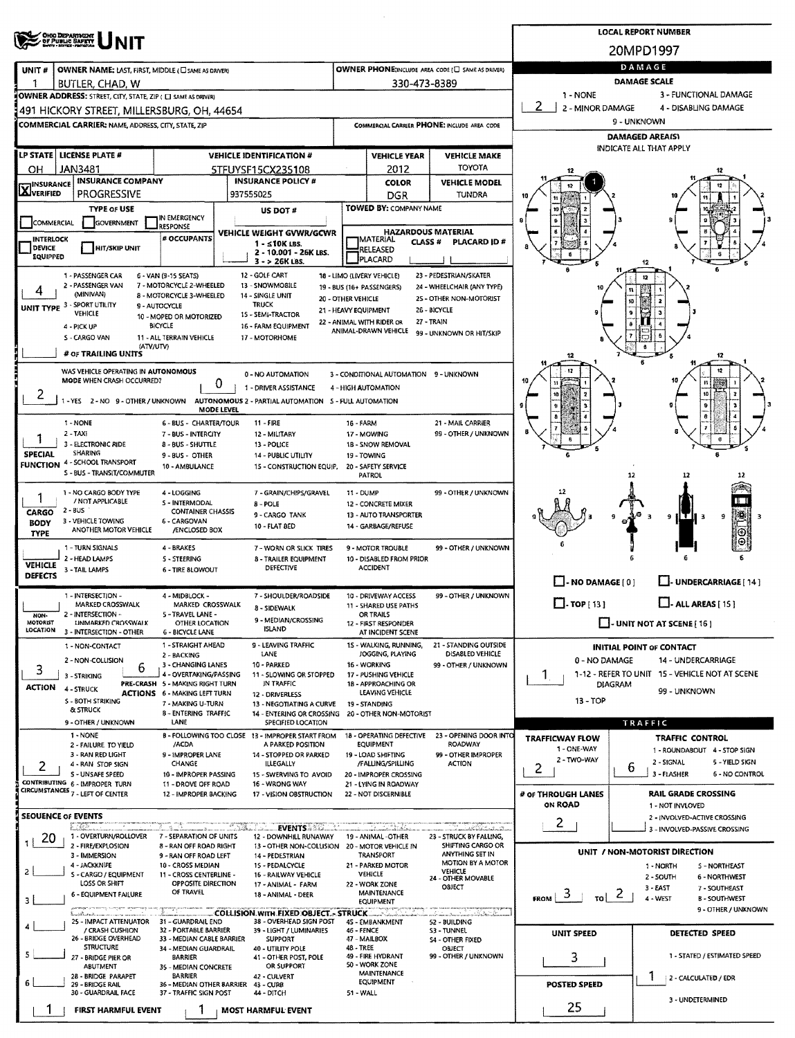|                                |                                                                                                                                                             |                                                                                                                                                                                     |                                                                                                                                     |                                                                                                                                                            |                                                                                                                                           |                               | <b>LOCAL REPORT NUMBER</b>                                                |
|--------------------------------|-------------------------------------------------------------------------------------------------------------------------------------------------------------|-------------------------------------------------------------------------------------------------------------------------------------------------------------------------------------|-------------------------------------------------------------------------------------------------------------------------------------|------------------------------------------------------------------------------------------------------------------------------------------------------------|-------------------------------------------------------------------------------------------------------------------------------------------|-------------------------------|---------------------------------------------------------------------------|
|                                | <b>OHIO DEPARTMENT<br/>OF PUBLIC SAFETY</b>                                                                                                                 |                                                                                                                                                                                     |                                                                                                                                     |                                                                                                                                                            |                                                                                                                                           |                               | 20MPD1997                                                                 |
| UNIT#                          | OWNER NAME: LAST, FIRST, MIDDLE (C) SAME AS DRIVER)                                                                                                         |                                                                                                                                                                                     |                                                                                                                                     |                                                                                                                                                            | OWNER PHONE; INCLUDE AREA CODE (U SAME AS DRIVER)                                                                                         |                               | DAMAGE                                                                    |
| 1                              | BUTLER, CHAD, W                                                                                                                                             |                                                                                                                                                                                     |                                                                                                                                     |                                                                                                                                                            | 330-473-8389                                                                                                                              |                               | <b>DAMAGE SCALE</b>                                                       |
|                                | OWNER ADDRESS: STREET, CITY, STATE, ZIP ( C SAME AS DRIVER)                                                                                                 |                                                                                                                                                                                     |                                                                                                                                     |                                                                                                                                                            |                                                                                                                                           | 1 - NONE<br>2 - MINOR DAMAGE  | 3 - FUNCTIONAL DAMAGE<br>4 - DISABLING DAMAGE                             |
|                                | 491 HICKORY STREET, MILLERSBURG, OH, 44654<br><b>COMMERCIAL CARRIER: NAME, ADDRESS, CITY, STATE, ZIP</b>                                                    |                                                                                                                                                                                     |                                                                                                                                     |                                                                                                                                                            | COMMERCIAL CARRIER PHONE: INCLUDE AREA CODE                                                                                               |                               | 9 - UNKNOWN                                                               |
|                                |                                                                                                                                                             |                                                                                                                                                                                     |                                                                                                                                     |                                                                                                                                                            |                                                                                                                                           |                               | <b>DAMAGED AREA(S)</b>                                                    |
|                                | LP STATE LICENSE PLATE #                                                                                                                                    |                                                                                                                                                                                     | <b>VEHICLE IDENTIFICATION #</b>                                                                                                     | <b>VEHICLE YEAR</b>                                                                                                                                        | <b>VEHICLE MAKE</b>                                                                                                                       |                               | INDICATE ALL THAT APPLY                                                   |
| OН                             | <b>JAN3481</b><br><b>INSURANCE COMPANY</b>                                                                                                                  |                                                                                                                                                                                     | 5TFUYSF15CX235108<br><b>INSURANCE POLICY #</b>                                                                                      | 2012<br><b>COLOR</b>                                                                                                                                       | <b>TOYOTA</b><br><b>VEHICLE MODEL</b>                                                                                                     |                               |                                                                           |
| <b>X</b> INSURANCE             | <b>PROGRESSIVE</b>                                                                                                                                          |                                                                                                                                                                                     | 937555025                                                                                                                           | DGR                                                                                                                                                        | TUNDRA                                                                                                                                    |                               |                                                                           |
|                                | <b>TYPE OF USE</b>                                                                                                                                          | IN EMERGENCY                                                                                                                                                                        | <b>US DOT #</b>                                                                                                                     | TOWED BY: COMPANY NAME                                                                                                                                     |                                                                                                                                           |                               |                                                                           |
| COMMERCIAL<br><b>INTERLOCK</b> | <b>GOVERNMENT</b>                                                                                                                                           | <b>RESPONSE</b><br># OCCUPANTS                                                                                                                                                      | VEHICLE WEIGHT GVWR/GCWR                                                                                                            | <b>IMATERIAL</b>                                                                                                                                           | <b>HAZARDOUS MATERIAL</b>                                                                                                                 |                               |                                                                           |
| DEVICE<br>EQUIPPED             | <b>HIT/SKIP UNIT</b>                                                                                                                                        |                                                                                                                                                                                     | $1 - 10K$ LBS.<br>2 - 10.001 - 26K LBS.<br>$3 - 26K$ LBS.                                                                           | RELEASED<br>PLACARD                                                                                                                                        | <b>CLASS#</b><br>PLACARD ID#                                                                                                              |                               | 12                                                                        |
| 4                              | 1 - PASSENGER CAR<br>2 - PASSENGER VAN<br>(MINIVAN)<br>UNIT TYPE 3 - SPORT UTILITY<br>VEHICLE<br>4 - PICK UP<br>S - CARGO VAN<br># OF TRAILING UNITS        | 6 - VAN (9-15 SEATS)<br>7 - MOTORCYCLE 2-WHEELED<br>8 - MOTORCYCLE 3-WHEELED<br>9 - AUTOCYCLE<br>10 - MOPED OR MOTORIZED<br><b>BICYCLE</b><br>11 - ALL TERRAIN VEHICLE<br>(ATV/UTV) | 12 - GOLF CART<br>13 - SNOWMOBILE<br>14 - SINGLE UNIT<br><b>TRUCK</b><br>15 - SEMI-TRACTOR<br>16 - FARM EQUIPMENT<br>17 - MOTORHOME | 18 - LIMO (LIVERY VEHICLE)<br>19 - BUS (16+ PASSENGERS)<br>20 - OTHER VEHICLE<br>21 - HEAVY EQUIPMENT<br>22 - ANIMAL WITH RIDER OR<br>ANIMAL-DRAWN VEHICLE | 23 - PEDESTRIAN/SKATER<br>24 - WHEELCHAIR (ANY TYPE)<br>25 - OTHER NON-MOTORIST<br>26 - BICYCLE<br>27 - TRAIN<br>99 - UNKNOWN OR HIT/SKIP |                               | 10<br>12                                                                  |
|                                | WAS VEHICLE OPERATING IN AUTONOMOUS<br>MODE WHEN CRASH OCCURRED?                                                                                            |                                                                                                                                                                                     | 0 - NO AUTOMATION<br>0<br>1 - DRIVER ASSISTANCE                                                                                     | 3 - CONDITIONAL AUTOMATION 9 - UNKNOWN<br>4 - HIGH AUTOMATION                                                                                              |                                                                                                                                           |                               |                                                                           |
| 2                              | -YES 2-NO 9-OTHER/UNKNOWN                                                                                                                                   | <b>MODE LEVEL</b>                                                                                                                                                                   | AUTONOMOUS 2 - PARTIAL AUTOMATION 5 - FULL AUTOMATION                                                                               |                                                                                                                                                            |                                                                                                                                           |                               |                                                                           |
|                                | 1 - NONE<br>2 - TAXI                                                                                                                                        | <b>6 - BUS - CHARTER/TOUR</b><br>7 - BUS - INTERCITY                                                                                                                                | $11 - FIRE$<br>12 - MILITARY                                                                                                        | 16 - FARM<br>17 - MOWING                                                                                                                                   | 21 - MAIL CARRIER<br>99 - OTHER / UNKNOWN                                                                                                 |                               |                                                                           |
| <b>SPECIAL</b>                 | 3 - ELECTRONIC RIDE<br><b>SHARING</b>                                                                                                                       | 8 - BUS - SHUTTLE                                                                                                                                                                   | 13 - POLICE                                                                                                                         | 1B - SNOW REMOVAL                                                                                                                                          |                                                                                                                                           |                               |                                                                           |
|                                | <b>FUNCTION 4 - SCHOOL TRANSPORT</b>                                                                                                                        | 9 - BUS - OTHER<br>10 - AMBULANCE                                                                                                                                                   | 14 - PUBLIC UTILITY<br>15 - CONSTRUCTION EQUIP.                                                                                     | 19 - TOWING<br>20 - SAFETY SERVICE                                                                                                                         |                                                                                                                                           |                               |                                                                           |
|                                | S - BUS - TRANSIT/COMMUTER                                                                                                                                  |                                                                                                                                                                                     |                                                                                                                                     | <b>PATROL</b>                                                                                                                                              |                                                                                                                                           |                               | 12                                                                        |
|                                | 1 - NO CARGO BODY TYPE<br>/ NOT APPLICABLE                                                                                                                  | 4 - LOGGING<br><b>S - INTERMODAL</b>                                                                                                                                                | 7 - GRAIN/CHIPS/GRAVEL<br>$B - POLE$                                                                                                | <b>11 - DUMP</b><br>12 - CONCRETE MIXER                                                                                                                    | 99 - OTHER / UNKNOWN                                                                                                                      |                               |                                                                           |
| CARGO<br><b>BODY</b>           | $2 - BUS$<br>3 - VEHICLE TOWING                                                                                                                             | <b>CONTAINER CHASSIS</b><br>6 - CARGOVAN                                                                                                                                            | 9 - CARGO TANK<br>10 - FLAT 8ED                                                                                                     | 13 - AUTO TRANSPORTER<br>14 - GARBAGE/REFUSE                                                                                                               |                                                                                                                                           |                               | 陣<br>9<br>9                                                               |
| <b>TYPE</b>                    | ANOTHER MOTOR VEHICLE                                                                                                                                       | /ENCLOSED BOX                                                                                                                                                                       |                                                                                                                                     |                                                                                                                                                            |                                                                                                                                           |                               |                                                                           |
|                                | 1 - TURN SIGNALS<br>2 - HEAD LAMPS                                                                                                                          | 4 - BRAKES<br><b>S-STEERING</b>                                                                                                                                                     | 7 - WORN OR SLICK TIRES<br><b>8 - TRAILER EQUIPMENT</b>                                                                             | 9 - MOTOR TROUBLE<br>10 - DISABLED FROM PRIOR                                                                                                              | 99 - OTHER / UNKNOWN                                                                                                                      |                               |                                                                           |
| <b>VEHICLE</b><br>DEFECTS      | 3 - TAIL LAMPS                                                                                                                                              | <b>6 - TIRE BLOWOUT</b>                                                                                                                                                             | <b>DEFECTIVE</b>                                                                                                                    | <b>ACCIDENT</b>                                                                                                                                            |                                                                                                                                           |                               |                                                                           |
|                                | 1 - MILLIUN -                                                                                                                                               | 4 - MIDBLOCK -                                                                                                                                                                      | 7 - SHOULDER/ROADSIDE                                                                                                               | 10 - DRIVEWAY ACCESS                                                                                                                                       | 99 - OTHER / UNKNOWN                                                                                                                      | $\Box$ - NO DAMAGE [ 0 ]      | L. UNDERCARRIAGE [ 14 ]                                                   |
| NON-                           | MARKED CROSSWALK<br>2 - INTERSECTION -                                                                                                                      | MARKED CROSSWALK<br>5 - TRAVEL LANE -                                                                                                                                               | 8 - SIDEWALK                                                                                                                        | 11 - SHARED USE PATHS<br>OR TRAILS                                                                                                                         |                                                                                                                                           | $\Box$ -TOP [13]              | $\Box$ - ALL AREAS [ 15 ]                                                 |
| <b>MOTORIST</b><br>LOCATION    | UNMARKED CROSSWALK<br>3 - INTERSECTION - OTHER                                                                                                              | OTHER LOCATION<br><b>6 - BICYCLE LANE</b>                                                                                                                                           | 9 - MEDIAN/CROSSING<br><b>ISLAND</b>                                                                                                | 12 - FIRST RESPONDER<br>AT INCIDENT SCENE                                                                                                                  |                                                                                                                                           |                               | $\Box$ - UNIT NOT AT SCENE [ 16 ]                                         |
|                                | 1 - NON-CONTACT                                                                                                                                             | 1 - STRAIGHT AHEAD                                                                                                                                                                  | 9 - LEAVING TRAFFIC                                                                                                                 | 15 - WALKING, RUNNING,                                                                                                                                     | 21 - STANDING OUTSIDE                                                                                                                     |                               | <b>INITIAL POINT OF CONTACT</b>                                           |
|                                | 2 - NON-COLLISION<br>6                                                                                                                                      | 2 - BACKING<br>3 - CHANGING LANES                                                                                                                                                   | LANE<br>10 - PARKED                                                                                                                 | JOGGING, PLAYING<br>16 - WORKING                                                                                                                           | DISABLED VEHICLE<br>99 - OTHER / UNKNOWN                                                                                                  | 0 - NO DAMAGE                 | 14 - UNDERCARRIAGE                                                        |
| 3                              | 3 - STRIKING                                                                                                                                                | 4 - OVERTAKING/PASSING<br>PRE-CRASH 5 - MAKING RIGHT TURN                                                                                                                           | 11 - SLOWING OR STOPPED<br>IN TRAFFIC                                                                                               | 17 - PUSHING VEHICLE<br>18 - APPROACHING OR                                                                                                                |                                                                                                                                           | 1.                            | 1-12 - REFER TO UNIT 15 - VEHICLE NOT AT SCENE<br>DIAGRAM                 |
| <b>ACTION</b>                  | 4 - STRUCK<br>S - BOTH STRIKING                                                                                                                             | <b>ACTIONS 6 - MAKING LEFT TURN</b><br>7 - MAKING U-TURN                                                                                                                            | 12 - DRIVERLESS                                                                                                                     | LEAVING VEHICLE<br>19 - STANDING                                                                                                                           |                                                                                                                                           | $13 - TOP$                    | 99 - UNKNOWN                                                              |
|                                | & STRUCK                                                                                                                                                    | <b>B-ENTERING TRAFFIC</b>                                                                                                                                                           | 13 - NEGOTIATING A CURVE<br>14 - ENTERING OR CROSSING                                                                               | 20 - OTHER NON-MOTORIST                                                                                                                                    |                                                                                                                                           |                               |                                                                           |
|                                | 9 - OTHER / UNKNOWN<br>1 - NONE                                                                                                                             | LANE                                                                                                                                                                                | SPECIFIED LOCATION<br>B - FOLLOWING TOO CLOSE 13 - IMPROPER START FROM                                                              | 18 - OPERATING DEFECTIVE                                                                                                                                   | 23 - OPENING DOOR INTO                                                                                                                    | <b>TRAFFICWAY FLOW</b>        | TRAFFIC<br><b>TRAFFIC CONTROL</b>                                         |
|                                | 2 - FAILURE TO YIELD<br>3 - RAN RED LIGHT                                                                                                                   | /ACDA<br>9 - IMPROPER LANE                                                                                                                                                          | A PARKED POSITION<br>14 - STOPPED OR PARKED                                                                                         | <b>EQUIPMENT</b><br>19 - LOAD SHIFTING                                                                                                                     | ROADWAY<br>99 - OTHER IMPROPER                                                                                                            | 1 - ONE-WAY                   | 1 - ROUNDABOUT 4 - STOP SIGN                                              |
| 2                              | 4 - RAN STOP SIGN                                                                                                                                           | CHANGE                                                                                                                                                                              | <b>ILLEGALLY</b>                                                                                                                    | /FALLING/SPILLING                                                                                                                                          | <b>ACTION</b>                                                                                                                             | 2 - TWO-WAY<br>2              | 2 - SIGNAL<br>5 - YIELD SIGN<br>6<br>3 - FLASHER<br><b>6 - NO CONTROL</b> |
|                                | S - UNSAFE SPEED<br>CONTRIBUTING 6 - IMPROPER TURN<br>CIRCUMSTANCES 7 - LEFT OF CENTER                                                                      | 10 - IMPROPER PASSING<br>11 - DROVE OFF ROAD                                                                                                                                        | 15 - SWERVING TO AVOID<br>16 - WRONG WAY                                                                                            | 20 - IMPROPER CROSSING<br>21 - LYING IN ROADWAY                                                                                                            |                                                                                                                                           |                               |                                                                           |
|                                |                                                                                                                                                             | 12 - IMPROPER BACKING                                                                                                                                                               | 17 - VISION OBSTRUCTION                                                                                                             | 22 - NOT DISCERNIBLE                                                                                                                                       |                                                                                                                                           | # of THROUGH LANES<br>ON ROAD | <b>RAIL GRADE CROSSING</b><br>1 - NOT INVLOVED                            |
|                                | <b>SEOUENCE OF EVENTS</b><br>a man<br>1 - OVERTURN/ROLLOVER                                                                                                 | 7 - SEPARATION OF UNITS                                                                                                                                                             | <b>EVENTS AND COLLECT</b><br>12 - DOWNHILL RUNAWAY                                                                                  | 19 - ANIMAL -OTHER                                                                                                                                         | 23 - STRUCK BY FALLING,                                                                                                                   | $\mathbf{2}$                  | 2 - INVOLVED-ACTIVE CROSSING<br>3 - INVOLVED-PASSIVE CROSSING             |
| 20                             | 2 - FIRE/EXPLOSION                                                                                                                                          | 8 - RAN OFF ROAD RIGHT                                                                                                                                                              | 13 - OTHER NON-COLLISION                                                                                                            | 20 - MOTOR VEHICLE IN                                                                                                                                      | SHIFTING CARGO OR<br>ANYTHING SET IN                                                                                                      |                               | UNIT / NON-MOTORIST DIRECTION                                             |
| 2                              | 3 - IMMERSION<br>4 - JACKKNIFE                                                                                                                              | 9 - RAN OFF ROAD LEFT<br>10 - CROSS MEDIAN                                                                                                                                          | 14 - PEDESTRIAN<br>15 - PEDALCYCLE                                                                                                  | TRANSPORT<br>21 - PARKED MOTOR                                                                                                                             | MOTION BY A MOTOR<br>VEHICLE                                                                                                              |                               | 1 - NORTH<br>S-NORTHEAST                                                  |
|                                | S - CARGO / EQUIPMENT<br>LOSS OR SHIFT                                                                                                                      | 11 - CROSS CENTERLINE -<br>OPPOSITE DIRECTION                                                                                                                                       | 16 - RAILWAY VEHICLE<br>17 - ANIMAL - FARM                                                                                          | VEHICLE<br>22 - WORK ZONE                                                                                                                                  | 24 - OTHER MOVABLE<br>OBJECT                                                                                                              |                               | 2 - SOUTH<br>6 - NORTHWEST<br>3 - EAST<br>7 - SOUTHEAST                   |
| 3                              | 6 - EQUIPMENT FAILURE                                                                                                                                       | OF TRAVEL                                                                                                                                                                           | 18 - ANIMAL - DEER                                                                                                                  | MAINTENANCE<br><b>EQUIPMENT</b>                                                                                                                            |                                                                                                                                           | ು<br><b>FROM</b><br>τoΙ       | 2<br>4 - WEST<br><b>B-SOUTHWEST</b><br>9 - OTHER / UNKNOWN                |
|                                | di constituit de la commune de la commune de la communicació de la commune de la commune de la commune de la c<br>25 - IMPACT ATTENUATOR<br>/ CRASH CUSHION | 31 - GUARDRAIL END<br>32 - PORTABLE BARRIER                                                                                                                                         | <b>COLLISION.WITH.FIXED.OBJECT.- STRUCK.</b><br>38 - OVERHEAD SIGN POST<br>39 - LIGHT / LUMINARIES                                  | 45 - EMBANKMENT<br>46 - FENCE                                                                                                                              | كالتا فعالكم وأمرأها والمستحدات<br>52 - BUILDING<br>S3 - TUNNEL                                                                           |                               |                                                                           |
|                                | 26 - BRIDGE OVERHEAD<br><b>STRUCTURE</b>                                                                                                                    | 33 - MEDIAN CABLE BARRIER<br>34 - MEDIAN GUARDRAIL                                                                                                                                  | <b>SUPPORT</b><br>40 - UTILITY POLE                                                                                                 | 47 - MAILBOX<br>48 - TREE                                                                                                                                  | <b>S4 - OTHER FIXED</b><br>OBJECT                                                                                                         | UNIT SPEED                    | DETECTED SPEED                                                            |
| 5                              | 27 - BRIDGE PIER OR<br>ABUTMENT                                                                                                                             | <b>BARRIER</b><br>35 - MEDIAN CONCRETE                                                                                                                                              | 41 - OTHER POST, POLE<br>OR SUPPORT                                                                                                 | 49 - FIRE HYDRANT<br>50 - WORK ZONE                                                                                                                        | 99 - OTHER / UNKNOWN                                                                                                                      | 3                             | 1 - STATED / ESTIMATED SPEED                                              |
| 6                              | 28 - BRIDGE PARAPET<br>29 - BRIDGE RAIL                                                                                                                     | <b>BARRIER</b><br>36 - MEDIAN OTHER BARRIER                                                                                                                                         | 42 - CULVERT<br>43 - CURB                                                                                                           | MAINTENANCE<br><b>EQUIPMENT</b>                                                                                                                            |                                                                                                                                           | <b>POSTED SPEED</b>           | 2 - CALCULATED / EDR                                                      |
|                                | 30 - GUARDRAIL FACE                                                                                                                                         | 37 - TRAFFIC SIGN POST                                                                                                                                                              | 44 - DITCH                                                                                                                          | 51 - WALL                                                                                                                                                  |                                                                                                                                           | 25                            | 3 - UNDETERMINED                                                          |
|                                | FIRST HARMFUL EVENT                                                                                                                                         |                                                                                                                                                                                     | <b>MOST HARMFUL EVENT</b>                                                                                                           |                                                                                                                                                            |                                                                                                                                           |                               |                                                                           |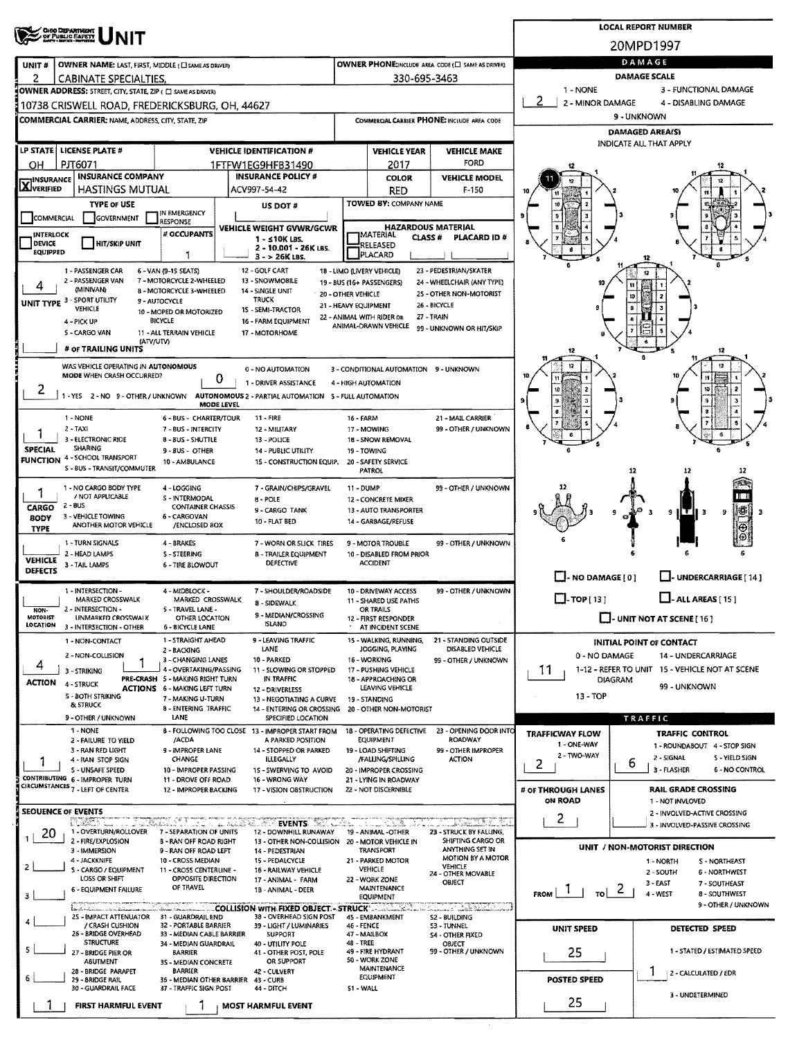|                                        | <b>CHIO DEPARTMENT<br/>OF PUBLIC SAFETY</b>                                                                  |                                                               |            |                                                                         |            |                                                   |                                                   |                                   |                | <b>LOCAL REPORT NUMBER</b>                                           |
|----------------------------------------|--------------------------------------------------------------------------------------------------------------|---------------------------------------------------------------|------------|-------------------------------------------------------------------------|------------|---------------------------------------------------|---------------------------------------------------|-----------------------------------|----------------|----------------------------------------------------------------------|
|                                        |                                                                                                              |                                                               |            |                                                                         |            |                                                   |                                                   |                                   |                | 20MPD1997                                                            |
| UNIT#                                  | OWNER NAME: LAST, FIRST, MIDDLE (C) SAME AS DRIVER)                                                          |                                                               |            |                                                                         |            |                                                   | OWNER PHONE:INCLUDE AREA CODE (E) SAME AS DRIVER) |                                   |                | DAMAGE                                                               |
| 2                                      | CABINATE SPECIALTIES.                                                                                        |                                                               |            |                                                                         |            | 330-695-3463                                      |                                                   |                                   |                | DAMAGE SCALE                                                         |
|                                        | OWNER ADDRESS: STREET, CITY, STATE, ZIP ( C) SAME AS DRIVERY                                                 |                                                               |            |                                                                         |            |                                                   |                                                   | 1 - NONE<br>2<br>2 - MINOR DAMAGE |                | 3 - FUNCTIONAL DAMAGE<br>4 - DISABLING DAMAGE                        |
|                                        | 10738 CRISWELL ROAD, FREDERICKSBURG, OH, 44627<br><b>COMMERCIAL CARRIER:</b> NAME, ADDRESS, CITY, STATE, ZIP |                                                               |            |                                                                         |            |                                                   | COMMERCIAL CARRIER PHONE: INCLUDE AREA CODE       |                                   |                | 9 - UNKNOWN                                                          |
|                                        |                                                                                                              |                                                               |            |                                                                         |            |                                                   |                                                   |                                   |                | <b>DAMAGED AREA(S)</b>                                               |
|                                        | LP STATE   LICENSE PLATE #                                                                                   |                                                               |            | <b>VEHICLE IDENTIFICATION #</b>                                         |            | <b>VEHICLE YEAR</b>                               | <b>VEHICLE MAKE</b>                               |                                   |                | INDICATE ALL THAT APPLY                                              |
| OН                                     | PJT6071                                                                                                      |                                                               |            | 1FTFW1EG9HFB31490                                                       |            | 2017                                              | FORD                                              |                                   |                |                                                                      |
| <b>HINSURANCE</b><br><b>AJVERIFIED</b> | <b>INSURANCE COMPANY</b><br><b>HASTINGS MUTUAL</b>                                                           |                                                               |            | <b>INSURANCE POLICY #</b><br>ACV997-54-42                               |            | <b>COLOR</b>                                      | <b>VEHICLE MODEL</b>                              |                                   |                |                                                                      |
|                                        | <b>TYPE OF USE</b>                                                                                           |                                                               |            | US DOT#                                                                 |            | RED<br>TOWED BY: COMPANY NAME                     | $F-150$                                           |                                   |                |                                                                      |
| <b>COMMERCIAL</b>                      | GOVERNMENT                                                                                                   | IN EMERGENCY<br>RESPONSE                                      |            |                                                                         |            |                                                   |                                                   |                                   |                |                                                                      |
| <b>INTERLOCK</b>                       |                                                                                                              | # OCCUPANTS                                                   |            | VEHICLE WEIGHT GVWR/GCWR<br>1 - ≤10K LBS.                               |            | <b>HAZARDOUS MATERIAL</b><br>MATERIAL<br>CLASS#   | <b>PLACARD ID#</b>                                |                                   |                |                                                                      |
| <b>DEVICE</b><br><b>EQUIPPED</b>       | <b>HIT/SKIP UNIT</b>                                                                                         |                                                               |            | 2 - 10.001 - 26K LBS.<br>$3 - 26K$ LBS.                                 |            | RELEASED<br>PLACARD                               |                                                   |                                   |                |                                                                      |
|                                        | 1 - PASSENGER CAR                                                                                            | 6 - VAN (9-15 SEATS)                                          |            | 12 - GOLF CART                                                          |            | 18 - LIMO (LIVERY VEHICLE)                        | 23 - PEDESTRIAN/SKATER                            |                                   |                |                                                                      |
| 4                                      | 2 - PASSENGER VAN<br>(MINIVAN)                                                                               | 7 - MOTORCYCLE 2-WHEELED<br>8 - MOTORCYCLE 3-WHEELED          |            | 13 - SNOWMOBILE<br>14 - SINGLE UNIT                                     |            | 19 - BUS (16+ PASSENGERS)                         | 24 - WHEELCHAIR (ANY TYPE)                        |                                   | 11             |                                                                      |
|                                        | UNIT TYPE 3 - SPORT UTILITY<br><b>VEHICLE</b>                                                                | 9 - AUTOCYCLE                                                 |            | <b>20 - OTHER VEHICLE</b><br><b>TRUCK</b>                               |            | 21 - HEAVY EQUIPMENT                              | 25 - OTHER NON-MOTORIST<br>26 - BICYCLE           |                                   | m              |                                                                      |
|                                        | 4 - PICK UP                                                                                                  | 10 - MOPED OR MOTORIZED<br><b>BICYCLE</b>                     |            | 15 - SEMI-TRACTOR<br>16 - FARM EQUIPMENT                                |            | 22 - ANIMAL WITH RIDER OR<br>ANIMAL-DRAWN VEHICLE | 27 - TRAIN                                        |                                   |                |                                                                      |
|                                        | 5 - CARGO VAN<br>(ATV/UTV)                                                                                   | 11 - ALL TERRAIN VEHICLE                                      |            | 17 - MOTORHOME                                                          |            |                                                   | 99 - UNKNOWN OR HIT/SKIP                          |                                   |                |                                                                      |
|                                        | # OF TRAILING UNITS                                                                                          |                                                               |            |                                                                         |            |                                                   |                                                   | 12                                |                | 12                                                                   |
|                                        | WAS VEHICLE OPERATING IN AUTONOMOUS<br>MODE WHEN CRASH OCCURRED?                                             |                                                               |            | 0 - NO AUTOMATION                                                       |            | 3 - CONDITIONAL AUTOMATION 9 - UNKNOWN            |                                                   | 12                                |                |                                                                      |
| 2                                      |                                                                                                              |                                                               | 0          | 1 - DRIVER ASSISTANCE                                                   |            | 4 - HIGH AUTOMATION                               |                                                   |                                   |                | 15                                                                   |
|                                        | 1 - YES 2 - NO 9 - OTHER / UNKNOWN AUTONOMOUS 2 - PARTIAL AUTOMATION 5 - FULL AUTOMATION                     |                                                               | MODE LEVEL |                                                                         |            |                                                   |                                                   |                                   |                |                                                                      |
|                                        | 1 - NONE                                                                                                     | 6 - BUS - CHARTER/TOUR                                        |            | <b>11 - FIRE</b>                                                        | 16 - FARM  |                                                   | 21 - MAIL CARRIER                                 |                                   |                |                                                                      |
|                                        | $2 - TAXI$<br>3 - ELECTRONIC RIDE                                                                            | 7 - BUS - INTERCITY<br>8 - BUS - SHUTTLE                      |            | 12 - MILITARY<br>13 - POLICE                                            |            | 17 - MOWING<br>18 - SNOW REMOVAL                  | 99 - OTHER / UNKNOWN                              |                                   |                | 6                                                                    |
| <b>SPECIAL</b>                         | <b>SHARING</b><br><b>FUNCTION 4 - SCHOOL TRANSPORT</b>                                                       | 9 - BUS - OTHER                                               |            | 14 - PUBLIC UTILITY                                                     |            | 19 - TOWING                                       |                                                   |                                   |                |                                                                      |
|                                        | S - BUS - TRANSIT/COMMUTER                                                                                   | 10 - AMBULANCE                                                |            | 15 - CONSTRUCTION EQUIP.                                                |            | 20 - SAFETY SERVICE<br><b>PATROL</b>              |                                                   |                                   | 12             | 12<br>12                                                             |
| 1                                      | 1 - NO CARGO BODY TYPE                                                                                       | 4 - LOGGING                                                   |            | 7 - GRAIN/CHIPS/GRAVEL                                                  | 11 - DUMP  |                                                   | 99 - OTHER / UNKNOWN                              |                                   |                |                                                                      |
| CARGO                                  | / NOT APPLICABLE<br>2 - BUS                                                                                  | S - INTERMODAL<br><b>CONTAINER CHASSIS</b>                    |            | 8 - POLE<br>9 - CARGO TANK                                              |            | 12 - CONCRETE MIXER<br>13 - AUTO TRANSPORTER      |                                                   |                                   |                | 9                                                                    |
| <b>BODY</b><br><b>TYPE</b>             | 3 - VEHICLE TOWING<br>ANOTHER MOTOR VEHICLE                                                                  | 6 - CARGOVAN<br>/ENCLOSED 8OX                                 |            | 10 - FLAT BED                                                           |            | 14 - GARBAGE/REFUSE                               |                                                   |                                   |                |                                                                      |
|                                        | 1 - TURN SIGNALS                                                                                             | 4 - BRAKES                                                    |            | 7 - WORN OR SLICK TIRES                                                 |            | 9 - MOTOR TROUBLE                                 | 99 - OTHER / UNKNOWN                              |                                   |                |                                                                      |
| <b>VEHICLE</b>                         | 2 - HEAD LAMPS                                                                                               | <b>S-STEERING</b>                                             |            | <b>B-TRAILER EQUIPMENT</b><br><b>DEFECTIVE</b>                          |            | 10 - DISABLED FROM PRIOR<br><b>ACCIDENT</b>       |                                                   |                                   |                |                                                                      |
| DEFECTS                                | 3 - TAIL LAMPS                                                                                               | <b>6 - TIRE BLOWOUT</b>                                       |            |                                                                         |            |                                                   |                                                   | $\Box$ - NO DAMAGE [0]            |                | L-UNDERCARRIAGE [14]                                                 |
|                                        | 1 - INTERSECTION -                                                                                           | 4 - MIDBLOCK -                                                |            | 7 - SHOULDER/ROADSIDE                                                   |            | 10 - DRIVEWAY ACCESS                              | 99 - OTHER / UNKNOWN                              | $\Box$ -TOP[13]                   |                | $\Box$ - ALL AREAS [15]                                              |
| NON-                                   | MARKED CROSSWALK<br>2 - INTERSECTION -                                                                       | MARKED CROSSWALK<br>5 - TRAVEL LANE -                         |            | 8 - SIDEWALK<br>9 - MEDIAN/CROSSING                                     |            | 11 - SHARED USE PATHS<br>OR TRAILS                |                                                   |                                   |                |                                                                      |
| MOTORIST<br>LOCATION                   | UNMARKED CROSSWALK<br>3 - INTERSECTION - OTHER                                                               | OTHER LOCATION<br>6 - BICYCLE LANE                            |            | <b>ISLAND</b>                                                           |            | 12 - FIRST RESPONDER<br>AT INCIDENT SCENE         |                                                   |                                   |                | $\Box$ - UNIT NOT AT SCENE [ 16 ]                                    |
|                                        | 1 - NON-CONTACT                                                                                              | 1 - STRAIGHT AHEAD<br>2 - BACKING                             |            | 9 - LEAVING TRAFFIC<br>LANE                                             |            | 15 - WALKING, RUNNING,<br>JOGGING, PLAYING        | 21 - STANDING OUTSIDE<br>DISABLED VEHICLE         |                                   |                | <b>INITIAL POINT OF CONTACT</b>                                      |
| 4                                      | 2 - NON-COLLISION                                                                                            | 3 - CHANGING LANES                                            |            | 10 - PARKED                                                             |            | 16 - WORKING                                      | 99 - OTHER / UNKNOWN                              | 0 - NO DAMAGE                     |                | <b>14 - UNDERCARRIAGE</b>                                            |
| <b>ACTION</b>                          | 3 - STRIKING<br>4 - STRUCK                                                                                   | 4 - OVERTAKING/PASSING<br>PRE-CRASH 5 - MAKING RIGHT TURN     |            | 11 - SLOWING OR STOPPED<br>IN TRAFFIC                                   |            | 17 - PUSHING VEHICLE<br>18 - APPROACHING OR       |                                                   | 11                                | <b>DIAGRAM</b> | 1-12 - REFER TO UNIT 15 - VEHICLE NOT AT SCENE                       |
|                                        | <b>S - BOTH STRIKING</b>                                                                                     | <b>ACTIONS 6 - MAKING LEFT TURN</b><br>7 - MAKING U-TURN      |            | 12 - DRIVERLESS<br>13 - NEGOTIATING A CURVE                             |            | LEAVING VEHICLE<br>19 - STANDING                  |                                                   | 13 - TOP                          |                | 99 - UNKNOWN                                                         |
|                                        | & STRUCK<br>9 - OTHER / UNKNOWN                                                                              | 8 - ENTERING TRAFFIC<br>LANE                                  |            | 14 - ENTERING OR CROSSING 20 - OTHER NON-MOTORIST<br>SPECIFIED LOCATION |            |                                                   |                                                   |                                   |                |                                                                      |
|                                        | 1 - NONE                                                                                                     |                                                               |            | 8 - FOLLOWING TOO CLOSE 13 - IMPROPER START FROM                        |            | <b>18 - OPERATING DEFECTIVE</b>                   | 23 - OPENING DOOR INTO                            | <b>TRAFFICWAY FLOW</b>            |                | TRAFFIC<br><b>TRAFFIC CONTROL</b>                                    |
|                                        | 2 - FAILURE TO YIELD<br>3 - RAN RED LIGHT                                                                    | /ACDA<br>9 - IMPROPER LANE                                    |            | A PARKED POSITION<br>14 - STOPPED OR PARKED                             |            | <b>EQUIPMENT</b><br>19 - LOAD SHIFTING            | ROADWAY<br>99 - OTHER IMPROPER                    | 1 - ONE-WAY                       |                | 1 - ROUNDABOUT 4 - STOP SIGN                                         |
|                                        | 4 - RAN STOP SIGN<br>S - UNSAFE SPEED                                                                        | CHANGE                                                        |            | <b>ILLEGALLY</b>                                                        |            | /FALLING/SPILLING                                 | <b>ACTION</b>                                     | 2 - TWO-WAY<br>2                  | 6              | 2 - SIGNAL<br>5 - YIELD SIGN<br>3 - FLASHER<br><b>6 - NO CONTROL</b> |
|                                        | CONTRIBUTING 6 - IMPROPER TURN                                                                               | 10 - IMPROPER PASSING<br>11 - DROVE OFF ROAD                  |            | 15 - SWERVING TO AVOID<br>16 - WRONG WAY                                |            | 20 - IMPROPER CROSSING<br>21 - LYING IN ROADWAY   |                                                   |                                   |                |                                                                      |
|                                        | CIRCUMSTANCES 7 - LEFT OF CENTER                                                                             | 12 - IMPROPER BACKING                                         |            | 17 - VISION OSSTRUCTION                                                 |            | 22 - NOT DISCERNIBLE                              |                                                   | # OF THROUGH LANES<br>ON ROAD     |                | <b>RAIL GRADE CROSSING</b><br>1 - NOT INVLOVED                       |
|                                        | <b>SEOUENCE OF EVENTS</b><br>nxan                                                                            |                                                               |            |                                                                         |            |                                                   | <u>The Company of the Second Second</u>           | 2                                 |                | 2 - INVOLVED-ACTIVE CROSSING                                         |
| 20                                     | and the contract of the contract<br>1 - OVERTURN/ROLLOVER                                                    | 7 - SEPARATION OF UNITS                                       |            | of the condition of the Events (BC), the<br>12 - DOWNHILL RUNAWAY       |            | 19 - ANIMAL -OTHER                                | 23 - STRUCK BY FALLING,                           |                                   |                | 3 - INVOLVED-PASSIVE CROSSING                                        |
|                                        | 2 - FIRE/EXPLOSION<br>3 - IMMERSION                                                                          | <b>B - RAN OFF ROAD RIGHT</b><br>9 - RAN OFF ROAD LEFT        |            | 13 - OTHER NON-COLLISION 20 - MOTOR VEHICLE IN<br>14 - PEDESTRIAN       |            | TRANSPORT                                         | SHIFTING CARGO OR<br>ANYTHING SET IN              |                                   |                | UNIT / NON-MOTORIST DIRECTION                                        |
| 2                                      | 4 - JACKKNIFE<br>S - CARGO / EQUIPMENT                                                                       | 10 - CROSS MEDIAN<br>11 - CROSS CENTERLINE -                  |            | 15 - PEDALCYCLE<br>16 - RAILWAY VEHICLE                                 |            | 21 - PARKED MOTOR<br>VEHICLE                      | MOTION BY A MOTOR<br><b>VEHICLE</b>               |                                   |                | 1-NORTH<br>S - NORTHEAST<br>2 - SOUTH<br>6 - NORTHWEST               |
|                                        | <b>LOSS OR SHIFT</b><br>6 - EQUIPMENT FAILURE                                                                | OPPOSITE DIRECTION<br>OF TRAVEL                               |            | 17 - ANIMAL - FARM                                                      |            | 22 - WORK ZONE<br>MAINTENANCE                     | 24 - OTHER MOVABLE<br>OBJECT                      |                                   |                | 3 - EAST<br>7 - SOUTHEAST                                            |
| з                                      |                                                                                                              |                                                               |            | 18 - ANIMAL - DEER                                                      |            | EQUIPMENT                                         |                                                   | FROM<br>τol                       | $\epsilon$     | 4 - WEST<br>8 - SOUTHWEST<br>9 - OTHER / UNKNOWN                     |
|                                        | لمستثمث<br>25 - IMPACT ATTENUATOR                                                                            | 31 - GUARDRAIL END                                            |            | COLLISION WITH FIXED OBJECT - STRUCK<br>38 - OVERHEAD SIGN POST         |            | 45 - EMBANKMENT                                   | S2 - BUILDING                                     |                                   |                |                                                                      |
|                                        | / CRASH CUSHION<br>26 - BRIDGE OVERHEAD                                                                      | 32 - PORTABLE BARRIER<br>33 - MEDIAN CABLE BARRIER            |            | 39 - LIGHT / LUMINARIES<br><b>SUPPORT</b>                               | 46 - FENCE | 47 - MAILBOX                                      | S3 - TUNNEL<br>S4 - OTHER FIXED                   | UNIT SPEED                        |                | DETECTED SPEED                                                       |
|                                        | <b>STRUCTURE</b><br>27 - BRIDGE PIER OR                                                                      | 34 - MEDIAN GUARDRAIL<br><b>BARRIER</b>                       |            | 40 - UTILITY POLE<br>41 - OTHER POST, POLE                              | 48 - TREE  | 49 - FIRE HYDRANT                                 | OBJECT<br>99 - OTHER / UNKNOWN                    | 25                                |                | 1 - STATED / ESTIMATED SPEED                                         |
|                                        | <b>ABUTMENT</b><br>28 - BRIDGE PARAPET                                                                       | 3S - MEDIAN CONCRETE<br><b>BARRIER</b>                        |            | OR SUPPORT<br>42 - CULVERT                                              |            | 50 - WORK ZONE<br><b>MAINTENANCE</b>              |                                                   |                                   |                | 2 - CALCULATED / EDR                                                 |
|                                        | 29 - 8RIDGE RAIL<br>30 - GUARDRAIL FACE                                                                      | 36 - MEDIAN OTHER BARRIER 43 - CURB<br>37 - TRAFFIC SIGN POST |            | 44 - DITCH                                                              | 51 - WALL  | EQUIPMENT                                         |                                                   | POSTED SPEED                      |                |                                                                      |
|                                        | FIRST HARMFUL EVENT                                                                                          |                                                               |            | <b>MOST HARMFUL EVENT</b>                                               |            |                                                   |                                                   | 25                                |                | 3 - UNDETERMINED                                                     |
|                                        |                                                                                                              |                                                               |            |                                                                         |            |                                                   |                                                   |                                   |                |                                                                      |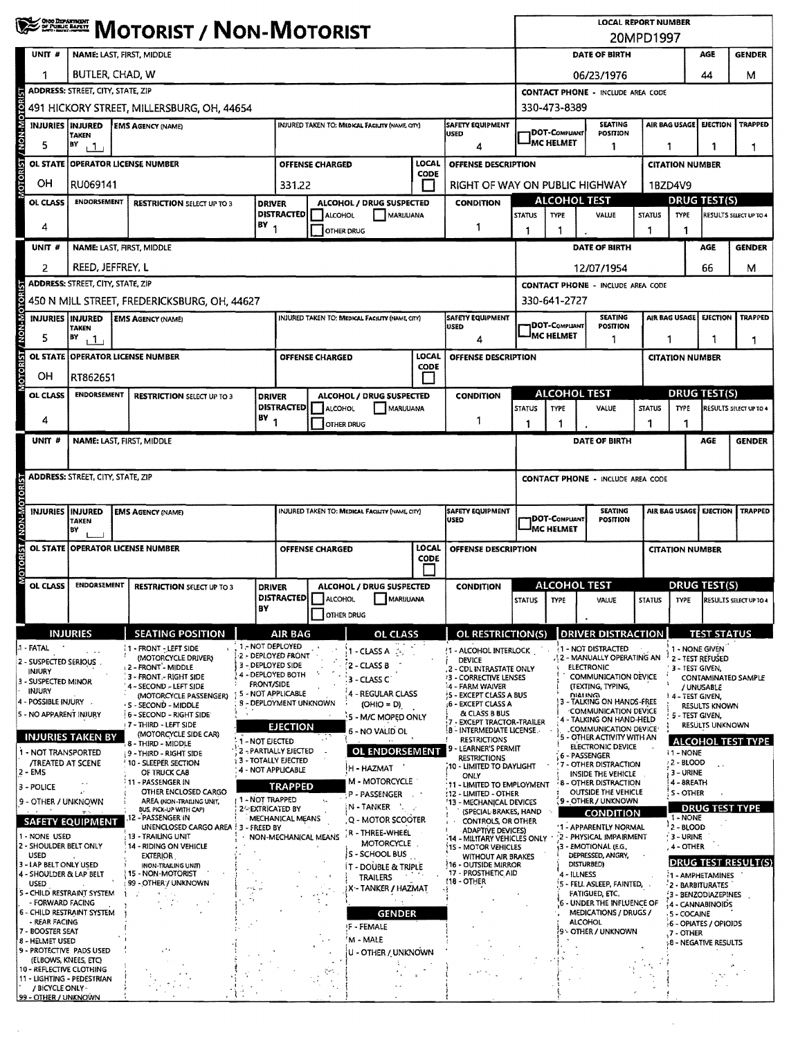|                                                        | <b>WESTERN MOTORIST / NON-MOTORIST</b>                        |                                                    |                                           |                      |                                                                                                 |                                                                 |                      |                                                             | <b>LOCAL REPORT NUMBER</b><br>20MPD1997  |                                          |                                                                  |                        |                           |                                         |                                    |
|--------------------------------------------------------|---------------------------------------------------------------|----------------------------------------------------|-------------------------------------------|----------------------|-------------------------------------------------------------------------------------------------|-----------------------------------------------------------------|----------------------|-------------------------------------------------------------|------------------------------------------|------------------------------------------|------------------------------------------------------------------|------------------------|---------------------------|-----------------------------------------|------------------------------------|
| UNIT #                                                 | NAME: LAST, FIRST, MIDDLE                                     |                                                    |                                           |                      |                                                                                                 |                                                                 |                      |                                                             |                                          |                                          | DATE OF BIRTH                                                    |                        |                           | AGE                                     | <b>GENDER</b>                      |
|                                                        | BUTLER, CHAD, W                                               |                                                    |                                           |                      |                                                                                                 |                                                                 |                      |                                                             |                                          |                                          | 06/23/1976                                                       |                        |                           | 44                                      | м                                  |
|                                                        | <b>ADDRESS: STREET, CITY, STATE, ZIP</b>                      |                                                    |                                           |                      |                                                                                                 |                                                                 |                      |                                                             | <b>CONTACT PHONE - INCLUDE AREA CODE</b> |                                          |                                                                  |                        |                           |                                         |                                    |
|                                                        |                                                               | 491 HICKORY STREET, MILLERSBURG, OH, 44654         |                                           |                      |                                                                                                 |                                                                 |                      |                                                             |                                          | 330-473-8389                             |                                                                  |                        |                           |                                         |                                    |
| <b>UN-MON'</b><br><b>INJURIES INJURED</b>              | <b>TAKEN</b>                                                  | <b>EMS AGENCY (NAME)</b>                           |                                           |                      | <b>SAFETY EQUIPMENT</b><br><b>INJURED TAKEN TO: MEDICAL FACIUTY (NAME, CITY)</b><br><b>USED</b> |                                                                 |                      |                                                             | <b>DOT-COMPLIANT</b>                     | <b>SEATING</b><br>POSITION               |                                                                  | AIR BAG USAGE          | <b>EJECTION</b>           | <b>TRAPPED</b>                          |                                    |
| 5                                                      | BY<br>111                                                     |                                                    |                                           |                      |                                                                                                 |                                                                 |                      | 4                                                           |                                          | <sup>I</sup> MC HELMET                   | 1                                                                | 1                      |                           | 1                                       | 1                                  |
| <b>MOTORIST</b><br>OL STATE                            | <b>OPERATOR LICENSE NUMBER</b>                                |                                                    |                                           |                      | <b>OFFENSE CHARGED</b>                                                                          |                                                                 | LOCAL<br>CODE        | OFFENSE DESCRIPTION                                         |                                          |                                          |                                                                  |                        | <b>CITATION NUMBER</b>    |                                         |                                    |
| OH                                                     | RU069141                                                      |                                                    |                                           |                      | 331.22                                                                                          |                                                                 |                      | RIGHT OF WAY ON PUBLIC HIGHWAY                              |                                          |                                          |                                                                  |                        | 1BZD4V9                   |                                         |                                    |
| OL CLASS                                               | <b>ENDORSEMENT</b>                                            | <b>RESTRICTION SELECT UP TO 3</b>                  | <b>DRIVER</b>                             | <b>DISTRACTED</b>    | ALCOHOL                                                                                         | ALCOHOL / DRUG SUSPECTED<br>MARUUANA                            |                      | <b>CONDITION</b>                                            | <b>STATUS</b>                            | <b>ALCOHOL TEST</b><br><b>TYPE</b>       | VALUE                                                            | <b>STATUS</b>          | <b>DRUG TEST(S)</b>       |                                         | RESULTS SELECT UP TO 4             |
| 4                                                      |                                                               | $BY_1$                                             |                                           |                      | OTHER DRUG                                                                                      |                                                                 |                      | 1                                                           | 1                                        |                                          |                                                                  |                        | <b>TYPE</b>               |                                         |                                    |
| UNIT #                                                 | NAME: LAST, FIRST, MIDDLE                                     |                                                    |                                           |                      |                                                                                                 |                                                                 |                      |                                                             |                                          |                                          | DATE OF BIRTH                                                    |                        |                           | AGE                                     | <b>GENDER</b>                      |
| 2                                                      | REED, JEFFREY, L                                              |                                                    |                                           |                      |                                                                                                 |                                                                 |                      |                                                             |                                          |                                          | 12/07/1954                                                       |                        |                           | 66                                      | м                                  |
|                                                        | <b>ADDRESS: STREET, CITY, STATE, ZIP</b>                      |                                                    |                                           |                      |                                                                                                 |                                                                 |                      |                                                             |                                          |                                          | <b>CONTACT PHONE - INCLUDE AREA CODE</b>                         |                        |                           |                                         |                                    |
|                                                        |                                                               | 450 N MILL STREET, FREDERICKSBURG, OH, 44627       |                                           |                      |                                                                                                 |                                                                 |                      |                                                             |                                          | 330-641-2727                             |                                                                  |                        |                           |                                         |                                    |
| NON-MOTO<br><b>INJURIES INJURED</b>                    | <b>TAKEN</b>                                                  | <b>EMS AGENCY (NAME)</b>                           |                                           |                      |                                                                                                 | INJURED TAKEN TO: MEDICAL FACILITY (NAME CITY)                  |                      | <b>SAFETY EQUIPMENT</b><br><b>USED</b>                      |                                          | 1DOT-Compliant                           | <b>SEATING</b><br><b>POSITION</b>                                |                        | AIR BAG USAGE             | EJECTION                                | <b>TRAPPED</b>                     |
| 5                                                      | BY<br>11                                                      |                                                    |                                           |                      |                                                                                                 |                                                                 |                      | 4                                                           |                                          | <b>JMC HELMET</b>                        | 1                                                                | 1                      |                           |                                         | 1                                  |
| MOTORIST/                                              | OL STATE OPERATOR LICENSE NUMBER                              |                                                    |                                           |                      | <b>OFFENSE CHARGED</b>                                                                          |                                                                 | LOCAL<br><b>CODE</b> | OFFENSE DESCRIPTION                                         |                                          |                                          |                                                                  |                        | <b>CITATION NUMBER</b>    |                                         |                                    |
| OН                                                     | RT862651                                                      |                                                    |                                           |                      |                                                                                                 |                                                                 | $\mathbf{1}$         |                                                             |                                          |                                          |                                                                  |                        |                           |                                         |                                    |
| OL CLASS                                               | <b>ENDORSEMENT</b>                                            | <b>RESTRICTION SELECT UP TO 3</b>                  | <b>DRIVER</b>                             |                      |                                                                                                 | ALCOHOL / DRUG SUSPECTED                                        |                      | <b>CONDITION</b>                                            |                                          | <b>ALCOHOL TEST</b>                      |                                                                  |                        |                           | <b>DRUG TEST(S)</b>                     |                                    |
| 4                                                      |                                                               |                                                    | $BY$ <sub>1</sub>                         | <b>DISTRACTED</b>    | ALCOHOL                                                                                         | MARUUANA                                                        |                      | 1                                                           | <b>STATUS</b>                            | <b>TYPE</b><br>1                         | VALUE                                                            | <b>STATUS</b><br>1     | <b>TYPE</b><br>1          |                                         | RESULTS SELECT UP TO 4             |
| UNIT <sup>#</sup>                                      | NAME: LAST, FIRST, MIDDLE                                     |                                                    |                                           |                      | <b>OTHER DRUG</b>                                                                               |                                                                 |                      |                                                             | 1                                        |                                          | DATE OF BIRTH                                                    |                        |                           | AGE                                     | <b>GENDER</b>                      |
|                                                        |                                                               |                                                    |                                           |                      |                                                                                                 |                                                                 |                      |                                                             |                                          |                                          |                                                                  |                        |                           |                                         |                                    |
|                                                        | <b>ADDRESS: STREET, CITY, STATE, ZIP</b>                      |                                                    |                                           |                      |                                                                                                 |                                                                 |                      |                                                             |                                          | <b>CONTACT PHONE - INCLUDE AREA CODE</b> |                                                                  |                        |                           |                                         |                                    |
|                                                        |                                                               |                                                    |                                           |                      |                                                                                                 |                                                                 |                      |                                                             |                                          |                                          |                                                                  |                        |                           |                                         |                                    |
| <b>DIA-NON</b>                                         | <b>INJURIES IINJURED</b><br><b>EMS AGENCY (NAME)</b><br>taken |                                                    |                                           |                      |                                                                                                 | INJURED TAKEN TO: MEDICAL FACILITY (NAME, CITY)                 |                      | SAFETY EQUIPMENT<br>USED                                    |                                          | 1DOT-Compilant                           | <b>SEATING</b><br>POSITION                                       |                        | AIR BAG USAGE             | <b>EJECTION</b>                         | <b>TRAPPED</b>                     |
|                                                        | BY                                                            |                                                    |                                           |                      |                                                                                                 |                                                                 |                      |                                                             | MC HELMET                                |                                          |                                                                  |                        |                           |                                         |                                    |
| OL STATE                                               | <b>OPERATOR LICENSE NUMBER</b>                                |                                                    | <b>OFFENSE CHARGED</b>                    |                      |                                                                                                 | LOCAL<br><b>CODE</b>                                            | OFFENSE DESCRIPTION  |                                                             |                                          |                                          |                                                                  | <b>CITATION NUMBER</b> |                           |                                         |                                    |
| MOTORIST/                                              |                                                               |                                                    |                                           |                      |                                                                                                 |                                                                 |                      |                                                             |                                          | <b>DRUG TEST(S)</b>                      |                                                                  |                        |                           |                                         |                                    |
| <b>OL CLASS</b>                                        | <b>ENDORSEMENT</b>                                            | <b>RESTRICTION SELECT UP TO 3</b>                  | <b>DRIVER</b>                             |                      |                                                                                                 | ALCOHOL / DRUG SUSPECTED<br><b>DISTRACTED</b> ALCOHOL MARIJUANA |                      | <b>CONDITION</b>                                            | <b>STATUS</b>                            | <b>ALCOHOL TEST</b><br>$ $ TYPE $ $      | VALUE                                                            |                        |                           |                                         | STATUS TYPE RESULTS SELECT UP TO 4 |
|                                                        |                                                               |                                                    | BY                                        |                      |                                                                                                 | OTHER DRUG                                                      |                      |                                                             |                                          |                                          |                                                                  |                        |                           |                                         |                                    |
|                                                        | <b>INJURIES</b>                                               | <b>SEATING POSITION</b>                            |                                           | AIR BAG              |                                                                                                 | <b>OL CLASS</b>                                                 |                      | OL RESTRICTION(S)                                           |                                          |                                          | <b>DRIVER DISTRACTION</b>                                        |                        |                           | <b>TEST STATUS</b>                      |                                    |
| 1 - FATAL                                              |                                                               | i 1 - FRONT - LEFT SIDE<br>(MOTORCYCLE DRIVER)     | 1 - NOT DEPLOYED<br>2 - DEPLOYED FRONT    |                      |                                                                                                 | $1 - CLASSA$ :                                                  |                      | 1 - ALCOHOL INTERLOCK<br><b>DEVICE</b>                      |                                          |                                          | 1 - NOT DISTRACTED<br>. 2 - MANUALLY OPERATING AN                |                        |                           | 1 - NONE GIVEN<br>2 - TEST REFUSED      |                                    |
| 2 - SUSPECTED SERIOUS<br>INJURY                        |                                                               | L2 - FRONT - MIDDLE<br>3 - FRONT - RIGHT SIDE      | 3 - DEPLOYED SIDE<br>4 - DEPLOYED BOTH    |                      |                                                                                                 | 2 - CLASS B<br>$3 - CLASS C$                                    |                      | 2 - CDL INTRASTATE ONLY<br><b>13 - CORRECTIVE LENSES</b>    |                                          |                                          | <b>ELECTRONIC</b><br><b>COMMUNICATION DEVICE</b>                 |                        | 3 - TEST GIVEN,           |                                         | <b>CONTAMINATED SAMPLE</b>         |
| 3 - SUSPECTED MINOR<br>INJURY                          |                                                               | 4 - SECOND - LEFT SIDE<br>(MOTORCYCLE PASSENGER)   | <b>FRONT/SIDE</b><br>5 - NOT APPLICABLE   |                      |                                                                                                 | 4 - REGULAR CLASS                                               |                      | 4 - FARM WAIVER<br>5 - EXCEPT CLASS A BUS                   |                                          |                                          | (TEXTING, TYPING,<br><b>DIALING</b>                              |                        | i 4 - TEST GIVEN,         | / UNUSABLE                              |                                    |
| 4 - POSSIBLE INJURY<br>5 - NO APPARENT INJURY          |                                                               | S - SECOND - MIDDLE<br>6 - SECOND - RIGHT SIDE     | 9 - DEPLOYMENT UNKNOWN                    |                      |                                                                                                 | $(OHIO = D)$<br>5 - M/C MOPED ONLY                              |                      | 6 - EXCEPT CLASS A<br>& CLASS B BUS                         |                                          |                                          | 3 - TALKING ON HANDS-FREE<br><b>COMMUNICATION DEVICE</b>         |                        | 5 - TEST GIVEN,           | RESULTS KNOWN                           |                                    |
|                                                        |                                                               | 17-THIRD - LEFT SIDE<br>(MOTORCYCLE SIDE CAR)      |                                           | <b>EJECTION</b>      |                                                                                                 | 6 - NO VALID OL                                                 |                      | - EXCEPT TRACTOR-TRAILER<br><b>B-INTERMEDIATE LICENSE.</b>  |                                          |                                          | 4 - TALKING ON HAND-HELD<br>COMMUNICATION DEVICE                 |                        |                           | <b>RESULTS UNKNOWN</b>                  |                                    |
| 1 - NOT TRANSPORTED                                    | <b>INJURIES TAKEN BY</b>                                      | 8 - THIRD - MIDDLE<br>9 - THIRD - RIGHT SIDE       | 1 - NOT EJECTED<br>2 - PARTIALLY EJECTED  |                      |                                                                                                 | <b>OL ENDORSEMENT</b>                                           |                      | <b>RESTRICTIONS</b><br>9 - LEARNER'S PERMIT                 |                                          |                                          | 5 - OTHER ACTIVITY WITH AN<br>ELECTRONIC DEVICE<br>6 - PASSENGER |                        | <b>11 - NONE</b>          |                                         | <b>ALCOHOL TEST TYPE</b>           |
| <b>/TREATED AT SCENE</b><br>2 - EMS                    |                                                               | 10 - SLEEPER SECTION<br>OF TRUCK CAB               | 3 - TOTALLY EJECTED<br>4 - NOT APPLICABLE |                      |                                                                                                 | H - HAZMAT                                                      |                      | RESTRICTIONS<br>,10 - LIMITED TO DAYLIGHT                   |                                          |                                          | 7 - OTHER DISTRACTION<br>INSIDE THE VEHICLE                      |                        | 2 - BLOOD<br>3 - URINE    |                                         |                                    |
| 3 - POLICE                                             |                                                               | 11 - PASSENGER IN<br>OTHER ENCLOSED CARGO          |                                           | <b>TRAPPED</b>       |                                                                                                 | <b>M - MOTORCYCLE</b><br>P - PASSENGER                          |                      | ONLY<br>11 - LIMITED TO EMPLOYMENT<br>:12 - LIMITED - OTHER |                                          |                                          | <b>8 - OTHER DISTRACTION</b><br>OUTSIDE THE VEHICLE              |                        | 4 - BREATH<br>S - OTHER   |                                         |                                    |
| 9 - OTHER / UNKNOWN                                    |                                                               | AREA (NON-TRAILING UNIT,<br>BUS, PICK-UP WITH CAP) | 1 - NOT TRAPPED<br>2-EXTRICATED BY        |                      |                                                                                                 | IN - TANKER                                                     |                      | '13 - MECHANICAL DEVICES<br>(SPECIAL BRAKES, HAND           |                                          |                                          | <b>9 - OTHER / UNKNOWN</b><br><b>CONDITION</b>                   |                        |                           |                                         | <b>DRUG TEST TYPE</b>              |
|                                                        | <b>SAFETY EQUIPMENT</b>                                       | 12 - PASSENGER IN<br>UNENCLOSED CARGO AREA !       | - FREED BY                                | MECHANICAL MEANS     |                                                                                                 | Q - MOTOR SCOOTER                                               |                      | CONTROLS, OR OTHER<br><b>ADAPTIVE DEVICES)</b>              |                                          |                                          | 1 - APPARENTLY NORMAL                                            |                        | 1 - NONE<br>$12 - BLOOD$  |                                         |                                    |
| 1 - NONE USED<br>2 - SHOULDER BELT ONLY                |                                                               | 13 - TRAILING UNIT<br>14 - RIDING ON VEHICLE       |                                           | NON-MECHANICAL MEANS |                                                                                                 | R - THREE-WHEEL<br><b>MOTORCYCLE</b>                            |                      | 14 - MILITARY VEHICLES ONLY<br>15 - MOTOR VEHICLES          |                                          |                                          | 2 - PHYSICAL IMPAIRMENT<br>3 - EMOTIONAL (E.G.,                  |                        | $-3 - URINE$<br>4 - OTHER |                                         |                                    |
| <b>USED</b><br>3 - LAP BELT ONLY USED                  |                                                               | <b>EXTERIOR</b><br><b>(NON-TRAILING UNIT)</b>      |                                           |                      |                                                                                                 | S - SCHOOL BUS<br><b>IT - DOUBLE &amp; TRIPLE</b>               |                      | WITHOUT AIR BRAKES<br>16 - OUTSIDE MIRROR                   |                                          |                                          | DEPRESSED, ANGRY,<br>DISTURBED)                                  |                        |                           |                                         | DRUG TEST RESULT(S)                |
| 4 - SHOULDER & LAP BELT<br><b>USED</b>                 |                                                               | 15 - NON-MOTORIST<br>99 - OTHER / UNKNOWN          |                                           |                      |                                                                                                 | <b>TRAILERS</b><br>¦X - TANKER / HAZMAT                         |                      | 17 - PROSTHETIC AID<br>118 - OTHER                          |                                          | 4 - ILLNESS                              | 5 - FELL ASLEEP, FAINTED,                                        |                        |                           | 1-AMPHETAMINES<br>2 - BARBITURATES      |                                    |
| - FORWARD FACING                                       | 5 - CHILD RESTRAINT SYSTEM                                    |                                                    |                                           |                      |                                                                                                 |                                                                 |                      |                                                             |                                          |                                          | <b>FATIGUED, ETC.</b><br><b>6 - UNDER THE INFLUENCE OF</b>       |                        |                           | 3 - BENZODIAZEPINES<br>4 - CANNABINOIDS |                                    |
| 6 - CHILD RESTRAINT SYSTEM<br>- REAR FACING            |                                                               |                                                    |                                           |                      |                                                                                                 | <b>GENDER</b><br><b>F-FEMALE</b>                                |                      |                                                             |                                          |                                          | MEDICATIONS / DRUGS /<br><b>ALCOHOL</b>                          |                        | 5 - COCAINE               | 6 - OPIATES / OPIOIDS                   |                                    |
| 7 - BOOSTER SEAT<br>8 - HELMET USED                    |                                                               |                                                    |                                           |                      |                                                                                                 | 'M - MALE                                                       |                      |                                                             |                                          |                                          | - OTHER / UNKNOWN                                                |                        | .7 - OTHER                | <b>18 - NEGATIVE RESULTS</b>            |                                    |
| 9 - PROTECTIVE PADS USED<br>(ELBOWS, KNEES, ETC)       |                                                               |                                                    |                                           |                      |                                                                                                 | U - OTHER / UNKNOWN                                             |                      |                                                             |                                          |                                          |                                                                  |                        |                           |                                         |                                    |
| 10 - REFLECTIVE CLOTHING<br>11 - LIGHTING - PEDESTRIAN |                                                               |                                                    |                                           |                      |                                                                                                 |                                                                 |                      |                                                             |                                          |                                          |                                                                  |                        |                           |                                         |                                    |
| / BICYCLE ONLY -<br>99 - OTHER / UNKNOWN               |                                                               |                                                    |                                           |                      |                                                                                                 |                                                                 |                      |                                                             |                                          |                                          |                                                                  |                        |                           |                                         |                                    |

 $\mathcal{L}_{\mathcal{A}}$ 

 $\hat{\mathcal{A}}$